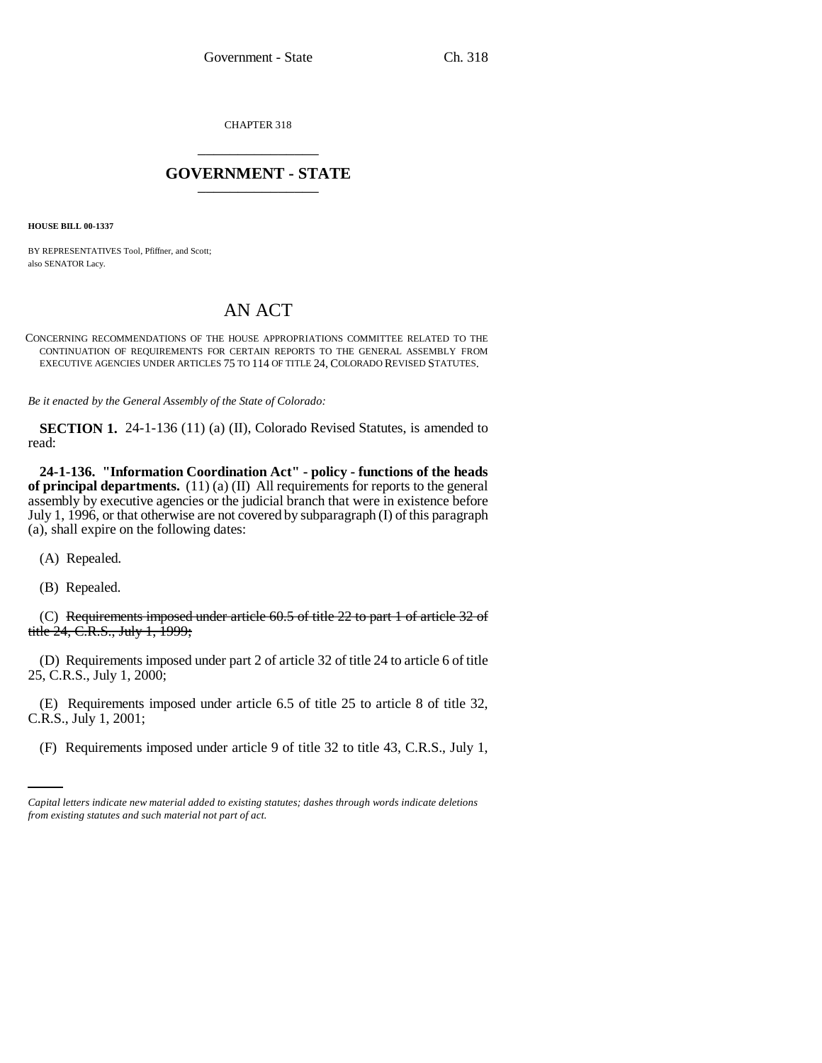CHAPTER 318 \_\_\_\_\_\_\_\_\_\_\_\_\_\_\_

## **GOVERNMENT - STATE** \_\_\_\_\_\_\_\_\_\_\_\_\_\_\_

**HOUSE BILL 00-1337** 

BY REPRESENTATIVES Tool, Pfiffner, and Scott; also SENATOR Lacy.

## AN ACT

CONCERNING RECOMMENDATIONS OF THE HOUSE APPROPRIATIONS COMMITTEE RELATED TO THE CONTINUATION OF REQUIREMENTS FOR CERTAIN REPORTS TO THE GENERAL ASSEMBLY FROM EXECUTIVE AGENCIES UNDER ARTICLES 75 TO 114 OF TITLE 24, COLORADO REVISED STATUTES.

*Be it enacted by the General Assembly of the State of Colorado:*

**SECTION 1.** 24-1-136 (11) (a) (II), Colorado Revised Statutes, is amended to read:

**24-1-136. "Information Coordination Act" - policy - functions of the heads of principal departments.** (11) (a) (II) All requirements for reports to the general assembly by executive agencies or the judicial branch that were in existence before July 1, 1996, or that otherwise are not covered by subparagraph (I) of this paragraph (a), shall expire on the following dates:

(A) Repealed.

(B) Repealed.

(C) Requirements imposed under article 60.5 of title 22 to part 1 of article 32 of title 24, C.R.S., July 1, 1999;

(D) Requirements imposed under part 2 of article 32 of title 24 to article 6 of title 25, C.R.S., July 1, 2000;

C.R.S., July 1, 2001; (E) Requirements imposed under article 6.5 of title 25 to article 8 of title 32,

(F) Requirements imposed under article 9 of title 32 to title 43, C.R.S., July 1,

*Capital letters indicate new material added to existing statutes; dashes through words indicate deletions from existing statutes and such material not part of act.*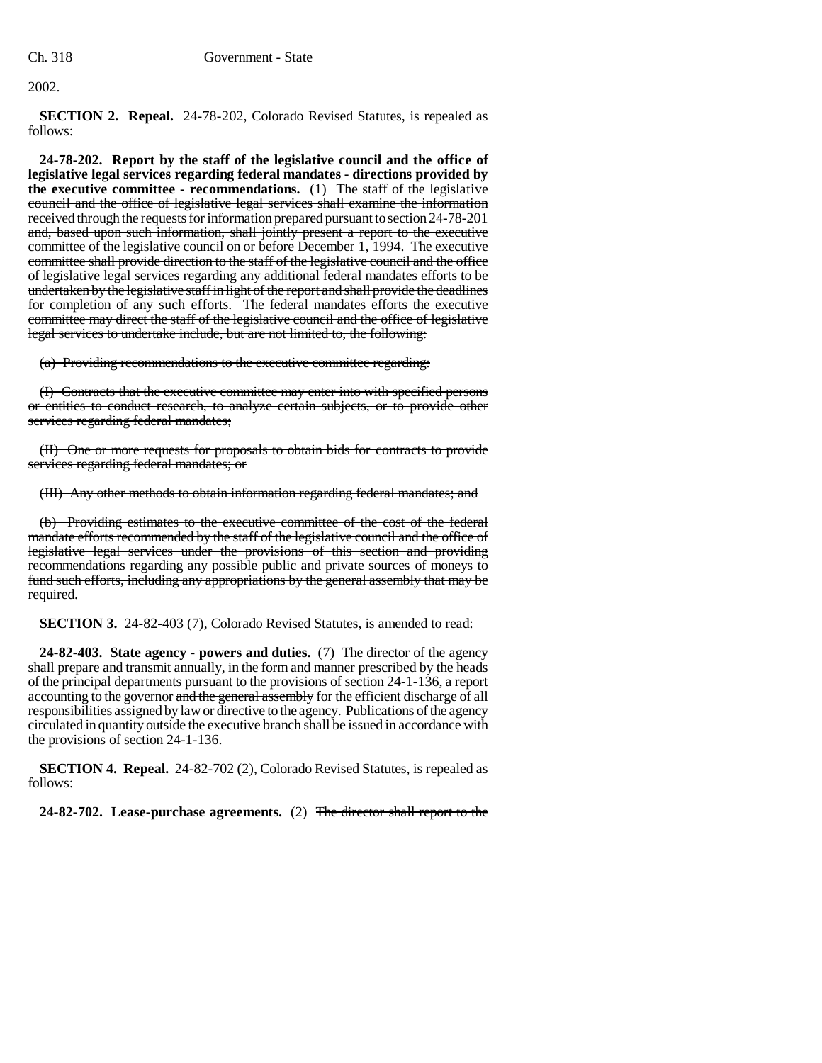2002.

**SECTION 2. Repeal.** 24-78-202, Colorado Revised Statutes, is repealed as follows:

**24-78-202. Report by the staff of the legislative council and the office of legislative legal services regarding federal mandates - directions provided by the executive committee - recommendations.** (1) The staff of the legislative council and the office of legislative legal services shall examine the information received through the requests for information prepared pursuant to section 24-78-201 and, based upon such information, shall jointly present a report to the executive committee of the legislative council on or before December 1, 1994. The executive committee shall provide direction to the staff of the legislative council and the office of legislative legal services regarding any additional federal mandates efforts to be undertaken by the legislative staff in light of the report and shall provide the deadlines for completion of any such efforts. The federal mandates efforts the executive committee may direct the staff of the legislative council and the office of legislative legal services to undertake include, but are not limited to, the following:

(a) Providing recommendations to the executive committee regarding:

(I) Contracts that the executive committee may enter into with specified persons or entities to conduct research, to analyze certain subjects, or to provide other services regarding federal mandates;

(II) One or more requests for proposals to obtain bids for contracts to provide services regarding federal mandates; or

(III) Any other methods to obtain information regarding federal mandates; and

(b) Providing estimates to the executive committee of the cost of the federal mandate efforts recommended by the staff of the legislative council and the office of legislative legal services under the provisions of this section and providing recommendations regarding any possible public and private sources of moneys to fund such efforts, including any appropriations by the general assembly that may be required.

**SECTION 3.** 24-82-403 (7), Colorado Revised Statutes, is amended to read:

**24-82-403. State agency - powers and duties.** (7) The director of the agency shall prepare and transmit annually, in the form and manner prescribed by the heads of the principal departments pursuant to the provisions of section 24-1-136, a report accounting to the governor and the general assembly for the efficient discharge of all responsibilities assigned by law or directive to the agency. Publications of the agency circulated in quantity outside the executive branch shall be issued in accordance with the provisions of section 24-1-136.

**SECTION 4. Repeal.** 24-82-702 (2), Colorado Revised Statutes, is repealed as follows:

**24-82-702. Lease-purchase agreements.** (2) The director shall report to the